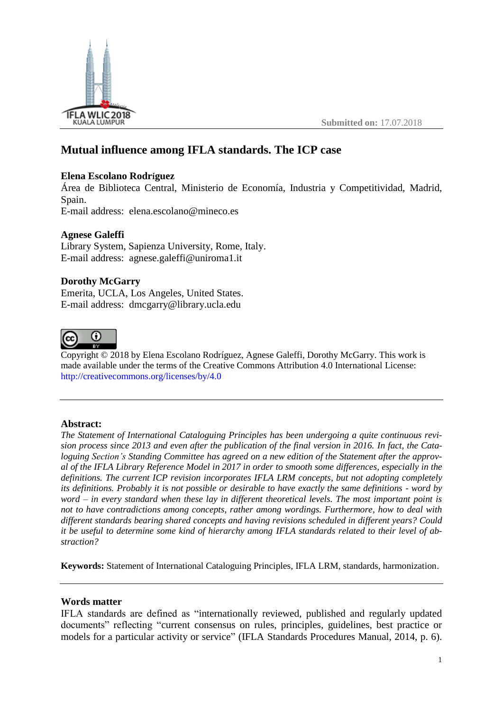

**Submitted on:** 17.07.2018

# **Mutual influence among IFLA standards. The ICP case**

# **Elena Escolano Rodríguez**

Área de Biblioteca Central, Ministerio de Economía, Industria y Competitividad, Madrid, Spain.

E-mail address: elena.escolano@mineco.es

# **Agnese Galeffi**

Library System, Sapienza University, Rome, Italy. E-mail address: agnese.galeffi@uniroma1.it

# **Dorothy McGarry**

Emerita, UCLA, Los Angeles, United States. E-mail address: dmcgarry@library.ucla.edu



Copyright © 2018 by Elena Escolano Rodríguez, Agnese Galeffi, Dorothy McGarry. This work is made available under the terms of the Creative Commons Attribution 4.0 International License: <http://creativecommons.org/licenses/by/4.0>

## **Abstract:**

*The Statement of International Cataloguing Principles has been undergoing a quite continuous revision process since 2013 and even after the publication of the final version in 2016. In fact, the Cataloguing Section's Standing Committee has agreed on a new edition of the Statement after the approval of the IFLA Library Reference Model in 2017 in order to smooth some differences, especially in the definitions. The current ICP revision incorporates IFLA LRM concepts, but not adopting completely its definitions. Probably it is not possible or desirable to have exactly the same definitions - word by word – in every standard when these lay in different theoretical levels. The most important point is not to have contradictions among concepts, rather among wordings. Furthermore, how to deal with different standards bearing shared concepts and having revisions scheduled in different years? Could it be useful to determine some kind of hierarchy among IFLA standards related to their level of abstraction?*

**Keywords:** Statement of International Cataloguing Principles, IFLA LRM, standards, harmonization.

## **Words matter**

IFLA standards are defined as "internationally reviewed, published and regularly updated documents" reflecting "current consensus on rules, principles, guidelines, best practice or models for a particular activity or service" (IFLA Standards Procedures Manual, 2014, p. 6).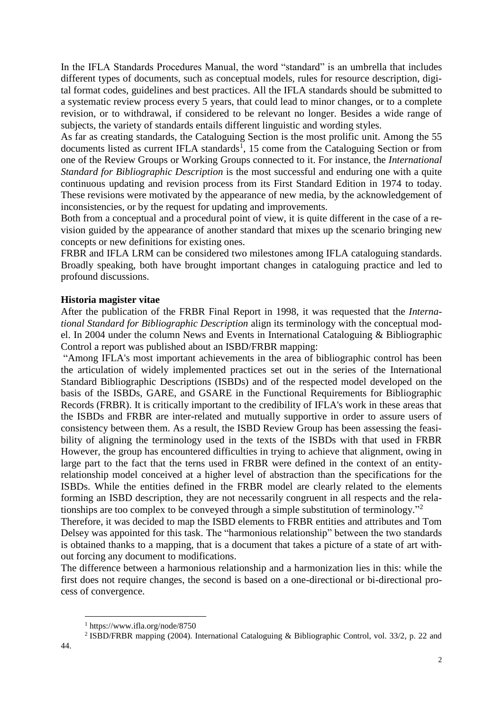In the IFLA Standards Procedures Manual, the word "standard" is an umbrella that includes different types of documents, such as conceptual models, rules for resource description, digital format codes, guidelines and best practices. All the IFLA standards should be submitted to a systematic review process every 5 years, that could lead to minor changes, or to a complete revision, or to withdrawal, if considered to be relevant no longer. Besides a wide range of subjects, the variety of standards entails different linguistic and wording styles.

As far as creating standards, the Cataloguing Section is the most prolific unit. Among the 55 documents listed as current IFLA standards<sup>1</sup>, 15 come from the Cataloguing Section or from one of the Review Groups or Working Groups connected to it. For instance, the *International Standard for Bibliographic Description* is the most successful and enduring one with a quite continuous updating and revision process from its First Standard Edition in 1974 to today. These revisions were motivated by the appearance of new media, by the acknowledgement of inconsistencies, or by the request for updating and improvements.

Both from a conceptual and a procedural point of view, it is quite different in the case of a revision guided by the appearance of another standard that mixes up the scenario bringing new concepts or new definitions for existing ones.

FRBR and IFLA LRM can be considered two milestones among IFLA cataloguing standards. Broadly speaking, both have brought important changes in cataloguing practice and led to profound discussions.

#### **Historia magister vitae**

After the publication of the FRBR Final Report in 1998, it was requested that the *International Standard for Bibliographic Description* align its terminology with the conceptual model. In 2004 under the column News and Events in International Cataloguing & Bibliographic Control a report was published about an ISBD/FRBR mapping:

"Among IFLA's most important achievements in the area of bibliographic control has been the articulation of widely implemented practices set out in the series of the International Standard Bibliographic Descriptions (ISBDs) and of the respected model developed on the basis of the ISBDs, GARE, and GSARE in the Functional Requirements for Bibliographic Records (FRBR). It is critically important to the credibility of IFLA's work in these areas that the ISBDs and FRBR are inter-related and mutually supportive in order to assure users of consistency between them. As a result, the ISBD Review Group has been assessing the feasibility of aligning the terminology used in the texts of the ISBDs with that used in FRBR However, the group has encountered difficulties in trying to achieve that alignment, owing in large part to the fact that the terns used in FRBR were defined in the context of an entityrelationship model conceived at a higher level of abstraction than the specifications for the ISBDs. While the entities defined in the FRBR model are clearly related to the elements forming an ISBD description, they are not necessarily congruent in all respects and the relationships are too complex to be conveyed through a simple substitution of terminology."<sup>2</sup>

Therefore, it was decided to map the ISBD elements to FRBR entities and attributes and Tom Delsey was appointed for this task. The "harmonious relationship" between the two standards is obtained thanks to a mapping, that is a document that takes a picture of a state of art without forcing any document to modifications.

The difference between a harmonious relationship and a harmonization lies in this: while the first does not require changes, the second is based on a one-directional or bi-directional process of convergence.

 $\overline{a}$ 

<sup>1</sup> https://www.ifla.org/node/8750

<sup>&</sup>lt;sup>2</sup> ISBD/FRBR mapping (2004). International Cataloguing & Bibliographic Control, vol. 33/2, p. 22 and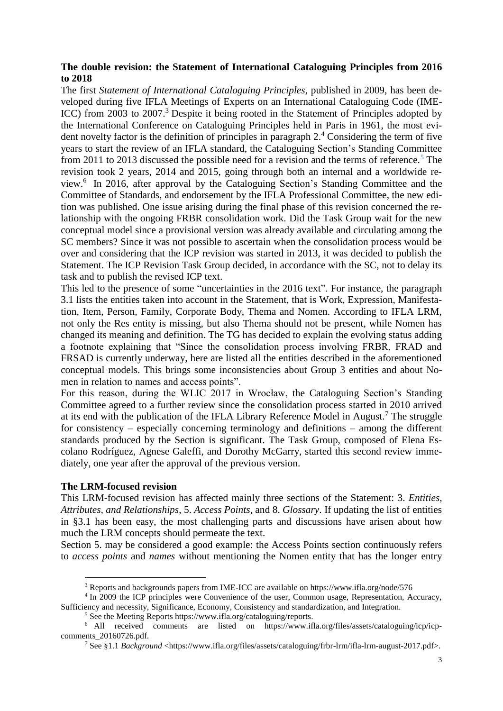# **The double revision: the Statement of International Cataloguing Principles from 2016 to 2018**

The first *Statement of International Cataloguing Principles*, published in 2009, has been developed during five IFLA Meetings of Experts on an International Cataloguing Code (IME-ICC) from 2003 to 2007.<sup>3</sup> Despite it being rooted in the Statement of Principles adopted by the International Conference on Cataloguing Principles held in Paris in 1961, the most evident novelty factor is the definition of principles in paragraph  $2<sup>4</sup>$  Considering the term of five years to start the review of an IFLA standard, the Cataloguing Section's Standing Committee from 2011 to 2013 discussed the possible need for a revision and the terms of reference.<sup>5</sup> The revision took 2 years, 2014 and 2015, going through both an internal and a worldwide review.<sup>6</sup> In 2016, after approval by the Cataloguing Section's Standing Committee and the Committee of Standards, and endorsement by the IFLA Professional Committee, the new edition was published. One issue arising during the final phase of this revision concerned the relationship with the ongoing FRBR consolidation work. Did the Task Group wait for the new conceptual model since a provisional version was already available and circulating among the SC members? Since it was not possible to ascertain when the consolidation process would be over and considering that the ICP revision was started in 2013, it was decided to publish the Statement. The ICP Revision Task Group decided, in accordance with the SC, not to delay its task and to publish the revised ICP text.

This led to the presence of some "uncertainties in the 2016 text". For instance, the paragraph 3.1 lists the entities taken into account in the Statement, that is Work, Expression, Manifestation, Item, Person, Family, Corporate Body, Thema and Nomen. According to IFLA LRM, not only the Res entity is missing, but also Thema should not be present, while Nomen has changed its meaning and definition. The TG has decided to explain the evolving status adding a footnote explaining that "Since the consolidation process involving FRBR, FRAD and FRSAD is currently underway, here are listed all the entities described in the aforementioned conceptual models. This brings some inconsistencies about Group 3 entities and about Nomen in relation to names and access points".

For this reason, during the WLIC 2017 in Wrocław, the Cataloguing Section's Standing Committee agreed to a further review since the consolidation process started in 2010 arrived at its end with the publication of the IFLA Library Reference Model in August.<sup>7</sup> The struggle for consistency – especially concerning terminology and definitions – among the different standards produced by the Section is significant. The Task Group, composed of Elena Escolano Rodríguez, Agnese Galeffi, and Dorothy McGarry, started this second review immediately, one year after the approval of the previous version.

## **The LRM-focused revision**

 $\overline{a}$ 

This LRM-focused revision has affected mainly three sections of the Statement: 3. *Entities, Attributes, and Relationships*, 5. *Access Points*, and 8. *Glossary*. If updating the list of entities in §3.1 has been easy, the most challenging parts and discussions have arisen about how much the LRM concepts should permeate the text.

Section 5. may be considered a good example: the Access Points section continuously refers to *access points* and *names* without mentioning the Nomen entity that has the longer entry

<sup>3</sup> Reports and backgrounds papers from IME-ICC are available on https://www.ifla.org/node/576

<sup>&</sup>lt;sup>4</sup> In 2009 the ICP principles were Convenience of the user, Common usage, Representation, Accuracy, Sufficiency and necessity, Significance, Economy, Consistency and standardization, and Integration.

<sup>5</sup> See the Meeting Reports https://www.ifla.org/cataloguing/reports.

<sup>6</sup> All received comments are listed on https://www.ifla.org/files/assets/cataloguing/icp/icpcomments\_20160726.pdf.

<sup>7</sup> See §1.1 *Background* <https://www.ifla.org/files/assets/cataloguing/frbr-lrm/ifla-lrm-august-2017.pdf>.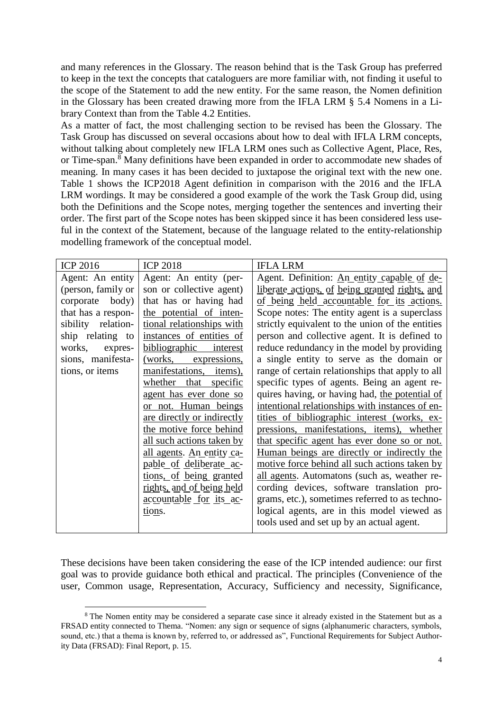and many references in the Glossary. The reason behind that is the Task Group has preferred to keep in the text the concepts that cataloguers are more familiar with, not finding it useful to the scope of the Statement to add the new entity. For the same reason, the Nomen definition in the Glossary has been created drawing more from the IFLA LRM § 5.4 Nomens in a Library Context than from the Table 4.2 Entities.

As a matter of fact, the most challenging section to be revised has been the Glossary. The Task Group has discussed on several occasions about how to deal with IFLA LRM concepts, without talking about completely new IFLA LRM ones such as Collective Agent, Place, Res, or Time-span. <sup>8</sup> Many definitions have been expanded in order to accommodate new shades of meaning. In many cases it has been decided to juxtapose the original text with the new one. Table 1 shows the ICP2018 Agent definition in comparison with the 2016 and the IFLA LRM wordings. It may be considered a good example of the work the Task Group did, using both the Definitions and the Scope notes, merging together the sentences and inverting their order. The first part of the Scope notes has been skipped since it has been considered less useful in the context of the Statement, because of the language related to the entity-relationship modelling framework of the conceptual model.

| <b>ICP 2016</b>    | <b>ICP 2018</b>            | <b>IFLA LRM</b>                                  |
|--------------------|----------------------------|--------------------------------------------------|
| Agent: An entity   | Agent: An entity (per-     | Agent. Definition: An entity capable of de-      |
| (person, family or | son or collective agent)   | liberate actions, of being granted rights, and   |
| corporate body)    | that has or having had     | of being held accountable for its actions.       |
| that has a respon- | the potential of inten-    | Scope notes: The entity agent is a superclass    |
| sibility relation- | tional relationships with  | strictly equivalent to the union of the entities |
| ship relating to   | instances of entities of   | person and collective agent. It is defined to    |
| works,<br>expres-  | bibliographic<br>interest  | reduce redundancy in the model by providing      |
| sions, manifesta-  | (works,<br>expressions,    | a single entity to serve as the domain or        |
| tions, or items    | manifestations, items),    | range of certain relationships that apply to all |
|                    | whether that specific      | specific types of agents. Being an agent re-     |
|                    | agent has ever done so     | quires having, or having had, the potential of   |
|                    | or not. Human beings       | intentional relationships with instances of en-  |
|                    | are directly or indirectly | tities of bibliographic interest (works, ex-     |
|                    | the motive force behind    | pressions, manifestations, items), whether       |
|                    | all such actions taken by  | that specific agent has ever done so or not.     |
|                    | all agents. An entity ca-  | Human beings are directly or indirectly the      |
|                    | pable of deliberate ac-    | motive force behind all such actions taken by    |
|                    | tions, of being granted    | all agents. Automatons (such as, weather re-     |
|                    | rights, and of being held  | cording devices, software translation pro-       |
|                    | accountable for its ac-    | grams, etc.), sometimes referred to as techno-   |
|                    | tions.                     | logical agents, are in this model viewed as      |
|                    |                            | tools used and set up by an actual agent.        |

These decisions have been taken considering the ease of the ICP intended audience: our first goal was to provide guidance both ethical and practical. The principles (Convenience of the user, Common usage, Representation, Accuracy, Sufficiency and necessity, Significance,

 $\overline{a}$ 

<sup>8</sup> The Nomen entity may be considered a separate case since it already existed in the Statement but as a FRSAD entity connected to Thema. "Nomen: any sign or sequence of signs (alphanumeric characters, symbols, sound, etc.) that a thema is known by, referred to, or addressed as", Functional Requirements for Subject Authority Data (FRSAD): Final Report, p. 15.